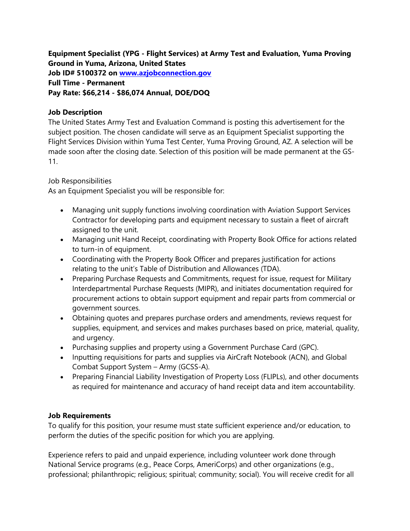**Equipment Specialist (YPG - Flight Services) at Army Test and Evaluation, Yuma Proving Ground in Yuma, Arizona, United States Job ID# 5100372 on [www.azjobconnection.gov](http://www.azjobconnection.gov/) Full Time - Permanent Pay Rate: \$66,214 - \$86,074 Annual, DOE/DOQ**

## **Job Description**

The United States Army Test and Evaluation Command is posting this advertisement for the subject position. The chosen candidate will serve as an Equipment Specialist supporting the Flight Services Division within Yuma Test Center, Yuma Proving Ground, AZ. A selection will be made soon after the closing date. Selection of this position will be made permanent at the GS-11.

## Job Responsibilities

As an Equipment Specialist you will be responsible for:

- Managing unit supply functions involving coordination with Aviation Support Services Contractor for developing parts and equipment necessary to sustain a fleet of aircraft assigned to the unit.
- Managing unit Hand Receipt, coordinating with Property Book Office for actions related to turn-in of equipment.
- Coordinating with the Property Book Officer and prepares justification for actions relating to the unit's Table of Distribution and Allowances (TDA).
- Preparing Purchase Requests and Commitments, request for issue, request for Military Interdepartmental Purchase Requests (MIPR), and initiates documentation required for procurement actions to obtain support equipment and repair parts from commercial or government sources.
- Obtaining quotes and prepares purchase orders and amendments, reviews request for supplies, equipment, and services and makes purchases based on price, material, quality, and urgency.
- Purchasing supplies and property using a Government Purchase Card (GPC).
- Inputting requisitions for parts and supplies via AirCraft Notebook (ACN), and Global Combat Support System – Army (GCSS-A).
- Preparing Financial Liability Investigation of Property Loss (FLIPLs), and other documents as required for maintenance and accuracy of hand receipt data and item accountability.

## **Job Requirements**

To qualify for this position, your resume must state sufficient experience and/or education, to perform the duties of the specific position for which you are applying.

Experience refers to paid and unpaid experience, including volunteer work done through National Service programs (e.g., Peace Corps, AmeriCorps) and other organizations (e.g., professional; philanthropic; religious; spiritual; community; social). You will receive credit for all